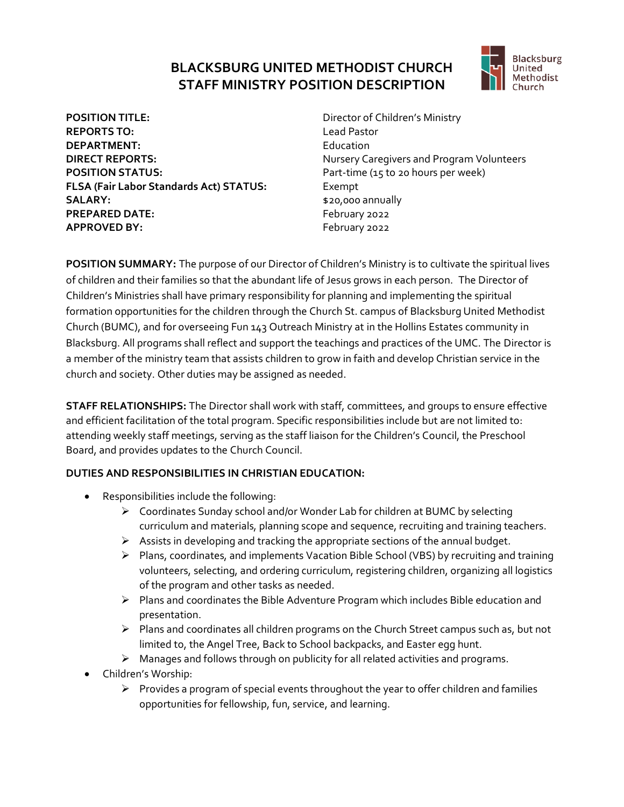## **BLACKSBURG UNITED METHODIST CHURCH STAFF MINISTRY POSITION DESCRIPTION**



**POSITION TITLE:** Director of Children's Ministry **REPORTS TO:** Lead Pastor **DEPARTMENT:** Education **DIRECT REPORTS:** Nursery Caregivers and Program Volunteers **POSITION STATUS:** POSITION STATUS: **FLSA (Fair Labor Standards Act) STATUS:** Exempt **SALARY:**  $$20,000$  annually **PREPARED DATE:** February 2022 **APPROVED BY:** February 2022

**POSITION SUMMARY:** The purpose of our Director of Children's Ministry is to cultivate the spiritual lives of children and their families so that the abundant life of Jesus grows in each person.The Director of Children's Ministries shall have primary responsibility for planning and implementing the spiritual formation opportunities for the children through the Church St. campus of Blacksburg United Methodist Church (BUMC), and for overseeing Fun 143 Outreach Ministry at in the Hollins Estates community in Blacksburg. All programs shall reflect and support the teachings and practices of the UMC. The Director is a member of the ministry team that assists children to grow in faith and develop Christian service in the church and society. Other duties may be assigned as needed.

**STAFF RELATIONSHIPS:** The Director shall work with staff, committees, and groups to ensure effective and efficient facilitation of the total program. Specific responsibilities include but are not limited to: attending weekly staff meetings, serving as the staff liaison for the Children's Council, the Preschool Board, and provides updates to the Church Council.

## **DUTIES AND RESPONSIBILITIES IN CHRISTIAN EDUCATION:**

- Responsibilities include the following:
	- ➢ Coordinates Sunday school and/or Wonder Lab for children at BUMC by selecting curriculum and materials, planning scope and sequence, recruiting and training teachers.
	- ➢ Assists in developing and tracking the appropriate sections of the annual budget.
	- ➢ Plans, coordinates, and implements Vacation Bible School (VBS) by recruiting and training volunteers, selecting, and ordering curriculum, registering children, organizing all logistics of the program and other tasks as needed.
	- ➢ Plans and coordinates the Bible Adventure Program which includes Bible education and presentation.
	- $\triangleright$  Plans and coordinates all children programs on the Church Street campus such as, but not limited to, the Angel Tree, Back to School backpacks, and Easter egg hunt.
	- $\triangleright$  Manages and follows through on publicity for all related activities and programs.
- Children's Worship:
	- ➢ Provides a program of special events throughout the year to offer children and families opportunities for fellowship, fun, service, and learning.